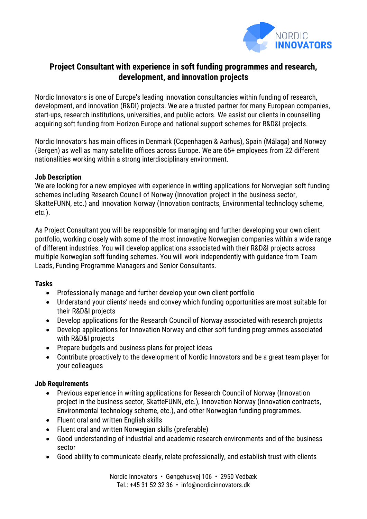

# **Project Consultant with experience in soft funding programmes and research, development, and innovation projects**

Nordic Innovators is one of Europe's leading innovation consultancies within funding of research, development, and innovation (R&DI) projects. We are a trusted partner for many European companies, start-ups, research institutions, universities, and public actors. We assist our clients in counselling acquiring soft funding from Horizon Europe and national support schemes for R&D&I projects.

Nordic Innovators has main offices in Denmark (Copenhagen & Aarhus), Spain (Málaga) and Norway (Bergen) as well as many satellite offices across Europe. We are 65+ employees from 22 different nationalities working within a strong interdisciplinary environment.

### **Job Description**

We are looking for a new employee with experience in writing applications for Norwegian soft funding schemes including Research Council of Norway (Innovation project in the business sector, SkatteFUNN, etc.) and Innovation Norway (Innovation contracts, Environmental technology scheme, etc.).

As Project Consultant you will be responsible for managing and further developing your own client portfolio, working closely with some of the most innovative Norwegian companies within a wide range of different industries. You will develop applications associated with their R&D&I projects across multiple Norwegian soft funding schemes. You will work independently with guidance from Team Leads, Funding Programme Managers and Senior Consultants.

### **Tasks**

- Professionally manage and further develop your own client portfolio
- Understand your clients' needs and convey which funding opportunities are most suitable for their R&D&I projects
- Develop applications for the Research Council of Norway associated with research projects
- Develop applications for Innovation Norway and other soft funding programmes associated with R&D&I projects
- Prepare budgets and business plans for project ideas
- Contribute proactively to the development of Nordic Innovators and be a great team player for your colleagues

### **Job Requirements**

- Previous experience in writing applications for Research Council of Norway (Innovation project in the business sector, SkatteFUNN, etc.), Innovation Norway (Innovation contracts, Environmental technology scheme, etc.), and other Norwegian funding programmes.
- Fluent oral and written English skills
- Fluent oral and written Norwegian skills (preferable)
- Good understanding of industrial and academic research environments and of the business sector
- Good ability to communicate clearly, relate professionally, and establish trust with clients

Nordic Innovators • Gøngehusvej 106 • 2950 Vedbæk Tel.: +45 31 52 32 36 • info@nordicinnovators.dk